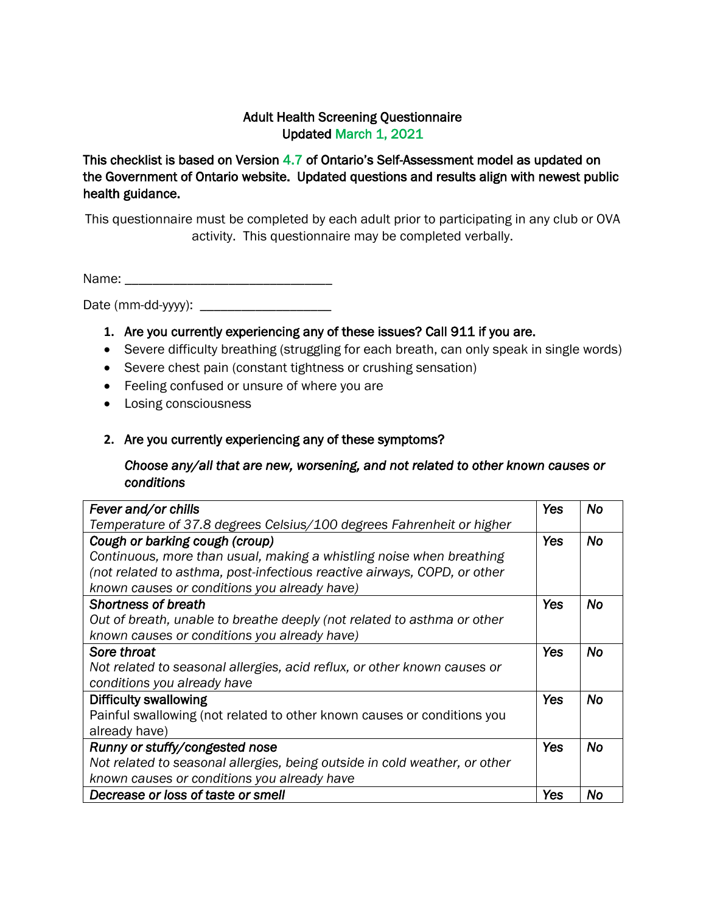#### Adult Health Screening Questionnaire Updated March 1, 2021

This checklist is based on Version 4.7 of Ontario's Self-Assessment model as updated on the Government of Ontario website. Updated questions and results align with newest public health guidance.

This questionnaire must be completed by each adult prior to participating in any club or OVA activity. This questionnaire may be completed verbally.

Name: \_\_\_\_\_\_\_\_\_\_\_\_\_\_\_\_\_\_\_\_\_\_\_\_\_\_\_\_\_\_

Date  $(mm\text{-}dd\text{-}vyyy)$ :

- **1.** Are you currently experiencing any of these issues? Call 911 if you are.
- Severe difficulty breathing (struggling for each breath, can only speak in single words)
- Severe chest pain (constant tightness or crushing sensation)
- Feeling confused or unsure of where you are
- Losing consciousness

#### **2.** Are you currently experiencing any of these symptoms?

#### *Choose any/all that are new, worsening, and not related to other known causes or conditions*

| Fever and/or chills                                                        | Yes        | No        |
|----------------------------------------------------------------------------|------------|-----------|
| Temperature of 37.8 degrees Celsius/100 degrees Fahrenheit or higher       |            |           |
| Cough or barking cough (croup)                                             | Yes        | <b>No</b> |
| Continuous, more than usual, making a whistling noise when breathing       |            |           |
| (not related to asthma, post-infectious reactive airways, COPD, or other   |            |           |
| known causes or conditions you already have)                               |            |           |
| <b>Shortness of breath</b>                                                 | Yes        | <b>No</b> |
| Out of breath, unable to breathe deeply (not related to asthma or other    |            |           |
| known causes or conditions you already have)                               |            |           |
| Sore throat                                                                | <b>Yes</b> | <b>No</b> |
| Not related to seasonal allergies, acid reflux, or other known causes or   |            |           |
| conditions you already have                                                |            |           |
| Difficulty swallowing                                                      | <b>Yes</b> | <b>No</b> |
| Painful swallowing (not related to other known causes or conditions you    |            |           |
| already have)                                                              |            |           |
| Runny or stuffy/congested nose                                             | <b>Yes</b> | <b>No</b> |
| Not related to seasonal allergies, being outside in cold weather, or other |            |           |
| known causes or conditions you already have                                |            |           |
| Decrease or loss of taste or smell                                         | Yes        | <b>No</b> |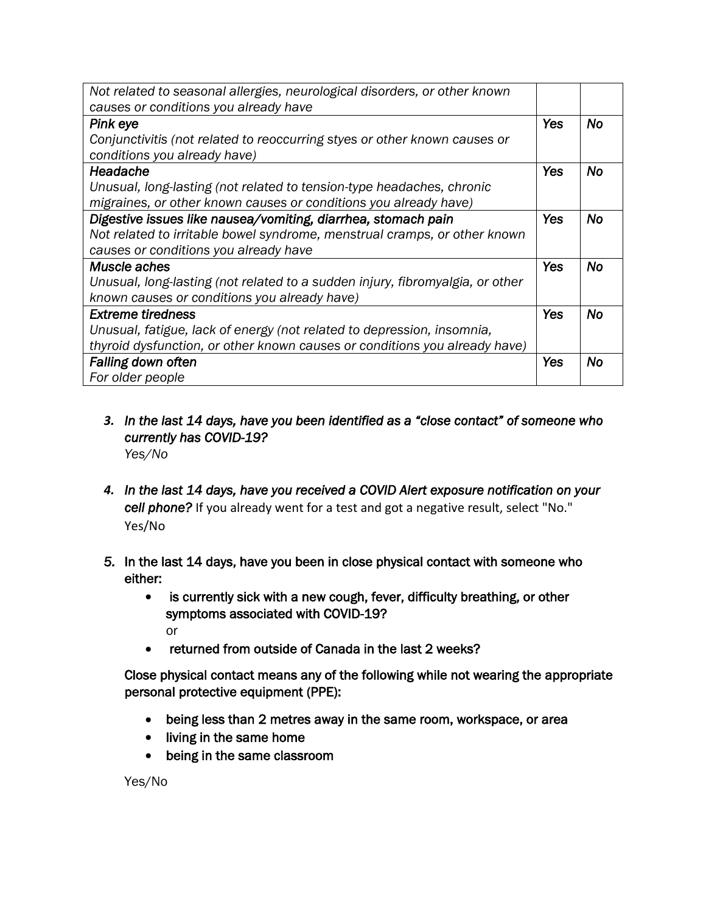| Not related to seasonal allergies, neurological disorders, or other known     |            |           |
|-------------------------------------------------------------------------------|------------|-----------|
| causes or conditions you already have                                         |            |           |
| Pink eye                                                                      | <b>Yes</b> | <b>No</b> |
| Conjunctivitis (not related to reoccurring styes or other known causes or     |            |           |
| conditions you already have)                                                  |            |           |
| Headache                                                                      | <b>Yes</b> | <b>No</b> |
| Unusual, long-lasting (not related to tension-type headaches, chronic         |            |           |
| migraines, or other known causes or conditions you already have)              |            |           |
| Digestive issues like nausea/vomiting, diarrhea, stomach pain                 | <b>Yes</b> | <b>No</b> |
| Not related to irritable bowel syndrome, menstrual cramps, or other known     |            |           |
| causes or conditions you already have                                         |            |           |
| Muscle aches                                                                  | Yes        | <b>No</b> |
| Unusual, long-lasting (not related to a sudden injury, fibromyalgia, or other |            |           |
| known causes or conditions you already have)                                  |            |           |
| <b>Extreme tiredness</b>                                                      | <b>Yes</b> | <b>No</b> |
| Unusual, fatigue, lack of energy (not related to depression, insomnia,        |            |           |
| thyroid dysfunction, or other known causes or conditions you already have)    |            |           |
| <b>Falling down often</b>                                                     | Yes        | No        |
| For older people                                                              |            |           |

- *3. In the last 14 days, have you been identified as a "close contact" of someone who currently has COVID-19? Yes/No*
- *4. In the last 14 days, have you received a COVID Alert exposure notification on your cell phone?* If you already went for a test and got a negative result, select "No." Yes/No
- *5.* In the last 14 days, have you been in close physical contact with someone who either:
	- is currently sick with a new cough, fever, difficulty breathing, or other symptoms associated with COVID-19? or
	- returned from outside of Canada in the last 2 weeks?

Close physical contact means any of the following while not wearing the appropriate personal protective equipment (PPE):

- being less than 2 metres away in the same room, workspace, or area
- living in the same home
- being in the same classroom

Yes/No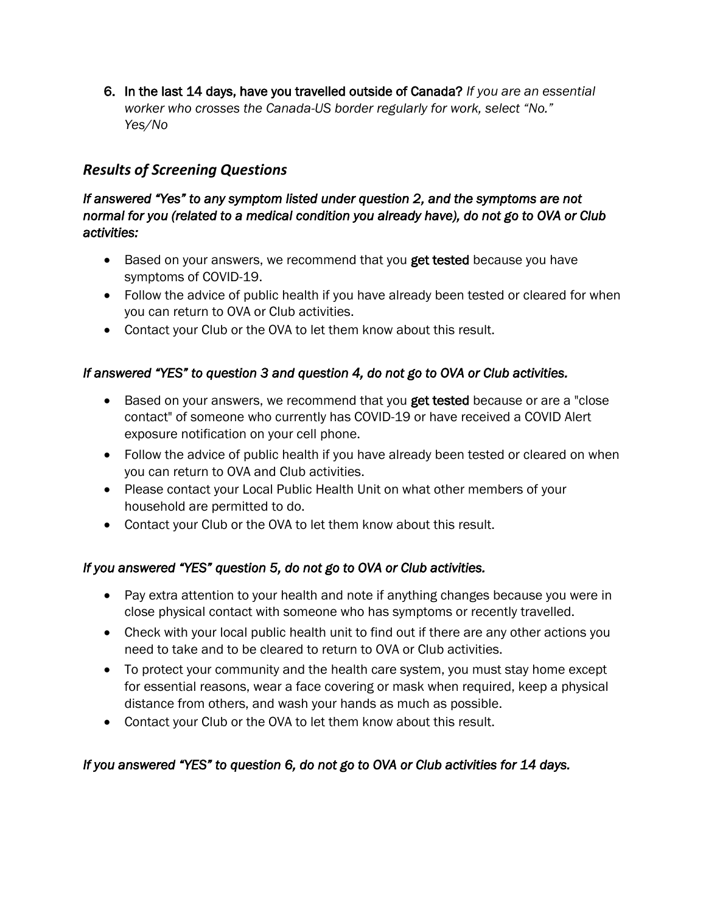6. In the last 14 days, have you travelled outside of Canada? *If you are an essential worker who crosses the Canada-US border regularly for work, select "No." Yes/No*

# *Results of Screening Questions*

#### *If answered "Yes" to any symptom listed under question 2, and the symptoms are not normal for you (related to a medical condition you already have), do not go to OVA or Club activities:*

- Based on your answers, we recommend that you get tested because you have symptoms of COVID-19.
- Follow the advice of public health if you have already been tested or cleared for when you can return to OVA or Club activities.
- Contact your Club or the OVA to let them know about this result.

## *If answered "YES" to question 3 and question 4, do not go to OVA or Club activities.*

- Based on your answers, we recommend that you get tested because or are a "close" contact" of someone who currently has COVID-19 or have received a COVID Alert exposure notification on your cell phone.
- Follow the advice of public health if you have already been tested or cleared on when you can return to OVA and Club activities.
- Please contact your Local Public Health Unit on what other members of your household are permitted to do.
- Contact your Club or the OVA to let them know about this result.

## *If you answered "YES" question 5, do not go to OVA or Club activities.*

- Pay extra attention to your health and note if anything changes because you were in close physical contact with someone who has symptoms or recently travelled.
- Check with your local public health unit to find out if there are any other actions you need to take and to be cleared to return to OVA or Club activities.
- To protect your community and the health care system, you must stay home except for essential reasons, wear a face covering or mask when required, keep a physical distance from others, and wash your hands as much as possible.
- Contact your Club or the OVA to let them know about this result.

## *If you answered "YES" to question 6, do not go to OVA or Club activities for 14 days.*